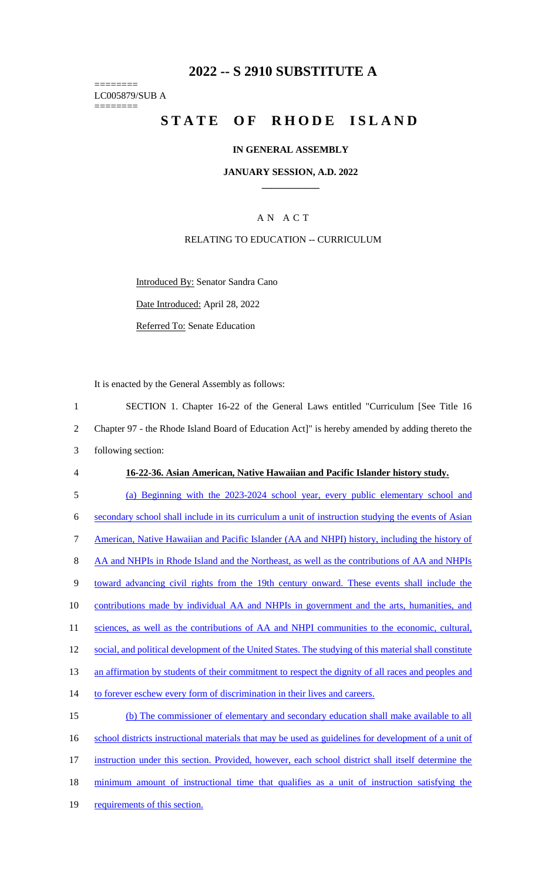## **2022 -- S 2910 SUBSTITUTE A**

======== LC005879/SUB A ========

# **STATE OF RHODE ISLAND**

#### **IN GENERAL ASSEMBLY**

**JANUARY SESSION, A.D. 2022 \_\_\_\_\_\_\_\_\_\_\_\_**

### A N A C T

### RELATING TO EDUCATION -- CURRICULUM

Introduced By: Senator Sandra Cano

Date Introduced: April 28, 2022

Referred To: Senate Education

It is enacted by the General Assembly as follows:

 SECTION 1. Chapter 16-22 of the General Laws entitled "Curriculum [See Title 16 Chapter 97 - the Rhode Island Board of Education Act]" is hereby amended by adding thereto the following section: **16-22-36. Asian American, Native Hawaiian and Pacific Islander history study.**  (a) Beginning with the 2023-2024 school year, every public elementary school and secondary school shall include in its curriculum a unit of instruction studying the events of Asian American, Native Hawaiian and Pacific Islander (AA and NHPI) history, including the history of 8 AA and NHPIs in Rhode Island and the Northeast, as well as the contributions of AA and NHPIs toward advancing civil rights from the 19th century onward. These events shall include the contributions made by individual AA and NHPIs in government and the arts, humanities, and 11 sciences, as well as the contributions of AA and NHPI communities to the economic, cultural, 12 social, and political development of the United States. The studying of this material shall constitute an affirmation by students of their commitment to respect the dignity of all races and peoples and 14 to forever eschew every form of discrimination in their lives and careers. (b) The commissioner of elementary and secondary education shall make available to all 16 school districts instructional materials that may be used as guidelines for development of a unit of instruction under this section. Provided, however, each school district shall itself determine the minimum amount of instructional time that qualifies as a unit of instruction satisfying the requirements of this section.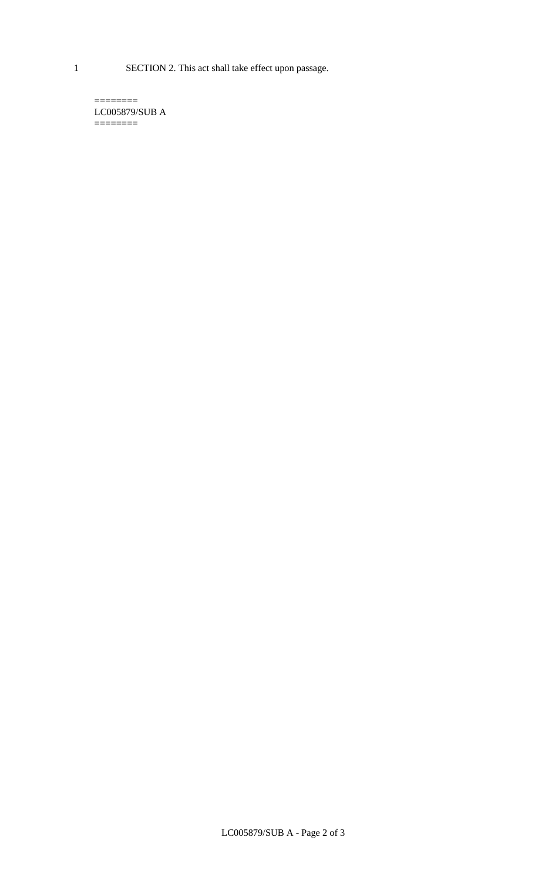1 SECTION 2. This act shall take effect upon passage.

 $=$ LC005879/SUB A  $=$